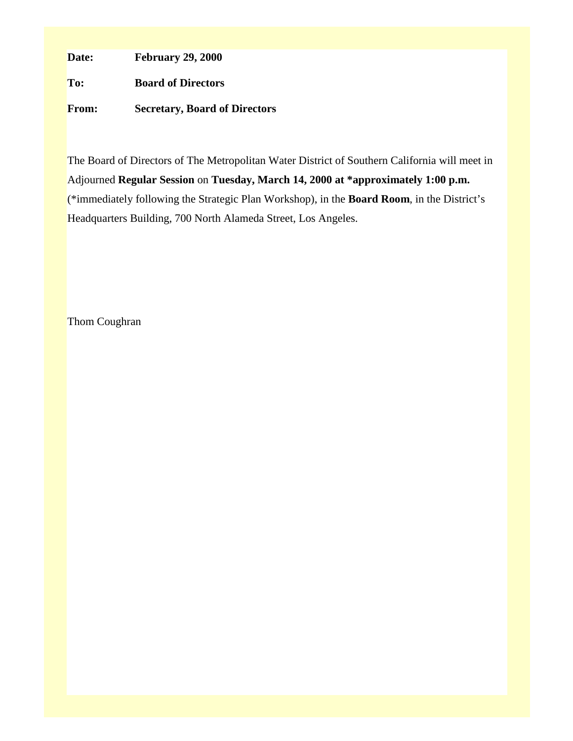**Date: February 29, 2000**

**To: Board of Directors**

**From: Secretary, Board of Directors**

The Board of Directors of The Metropolitan Water District of Southern California will meet in Adjourned **Regular Session** on **Tuesday, March 14, 2000 at \*approximately 1:00 p.m.** (\*immediately following the Strategic Plan Workshop), in the **Board Room**, in the District's Headquarters Building, 700 North Alameda Street, Los Angeles.

Thom Coughran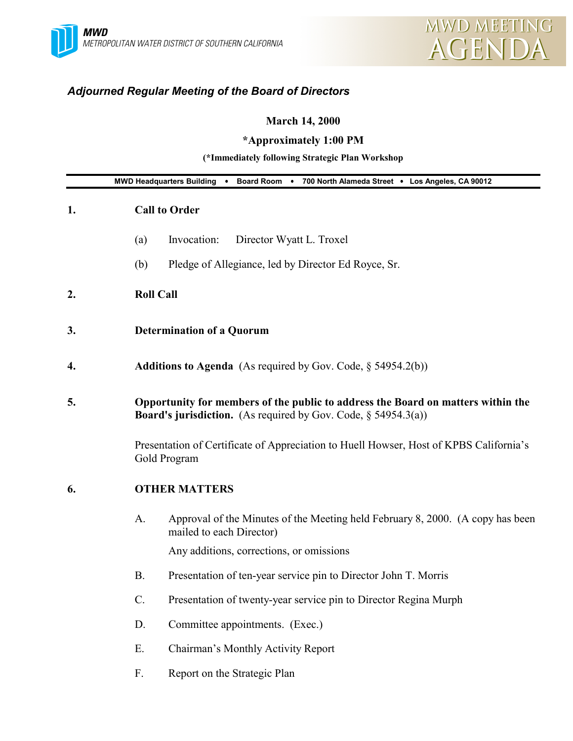# *Adjourned Regular Meeting of the Board of Directors*

# **March 14, 2000**

# **\*Approximately 1:00 PM**

## **(\*Immediately following Strategic Plan Workshop**

| MWD Headquarters Building . Board Room . 700 North Alameda Street . Los Angeles, CA 90012 |                 |                                                                                                                                                              |  |
|-------------------------------------------------------------------------------------------|-----------------|--------------------------------------------------------------------------------------------------------------------------------------------------------------|--|
| 1.                                                                                        |                 | <b>Call to Order</b>                                                                                                                                         |  |
|                                                                                           | (a)             | Invocation:<br>Director Wyatt L. Troxel                                                                                                                      |  |
|                                                                                           | (b)             | Pledge of Allegiance, led by Director Ed Royce, Sr.                                                                                                          |  |
| 2.                                                                                        |                 | <b>Roll Call</b>                                                                                                                                             |  |
| 3.                                                                                        |                 | <b>Determination of a Quorum</b>                                                                                                                             |  |
| 4.                                                                                        |                 | <b>Additions to Agenda</b> (As required by Gov. Code, $\S$ 54954.2(b))                                                                                       |  |
| 5.                                                                                        |                 | Opportunity for members of the public to address the Board on matters within the<br><b>Board's jurisdiction.</b> (As required by Gov. Code, $\S$ 54954.3(a)) |  |
|                                                                                           |                 | Presentation of Certificate of Appreciation to Huell Howser, Host of KPBS California's<br>Gold Program                                                       |  |
| 6.                                                                                        |                 | <b>OTHER MATTERS</b>                                                                                                                                         |  |
|                                                                                           | A.              | Approval of the Minutes of the Meeting held February 8, 2000. (A copy has been<br>mailed to each Director)                                                   |  |
|                                                                                           |                 | Any additions, corrections, or omissions                                                                                                                     |  |
|                                                                                           | <b>B.</b>       | Presentation of ten-year service pin to Director John T. Morris                                                                                              |  |
|                                                                                           | $\mathcal{C}$ . | Presentation of twenty-year service pin to Director Regina Murph                                                                                             |  |
|                                                                                           | D.              | Committee appointments. (Exec.)                                                                                                                              |  |
|                                                                                           | Ε.              | Chairman's Monthly Activity Report                                                                                                                           |  |
|                                                                                           | F.              | Report on the Strategic Plan                                                                                                                                 |  |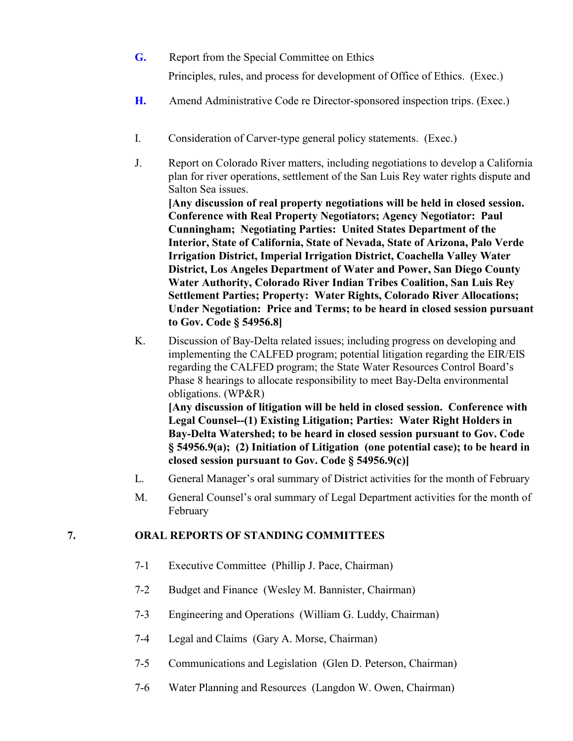- **G.** Report from the Special Committee on Ethics Principles, rules, and process for development of Office of Ethics. (Exec.)
- **H.** Amend Administrative Code re Director-sponsored inspection trips. (Exec.)
- I. Consideration of Carver-type general policy statements. (Exec.)
- J. Report on Colorado River matters, including negotiations to develop a California plan for river operations, settlement of the San Luis Rey water rights dispute and Salton Sea issues.

**[Any discussion of real property negotiations will be held in closed session. Conference with Real Property Negotiators; Agency Negotiator: Paul Cunningham; Negotiating Parties: United States Department of the Interior, State of California, State of Nevada, State of Arizona, Palo Verde Irrigation District, Imperial Irrigation District, Coachella Valley Water District, Los Angeles Department of Water and Power, San Diego County Water Authority, Colorado River Indian Tribes Coalition, San Luis Rey Settlement Parties; Property: Water Rights, Colorado River Allocations; Under Negotiation: Price and Terms; to be heard in closed session pursuant to Gov. Code § 54956.8]**

K. Discussion of Bay-Delta related issues; including progress on developing and implementing the CALFED program; potential litigation regarding the EIR/EIS regarding the CALFED program; the State Water Resources Control Board's Phase 8 hearings to allocate responsibility to meet Bay-Delta environmental obligations. (WP&R) **[Any discussion of litigation will be held in closed session. Conference with**

**Legal Counsel--(1) Existing Litigation; Parties: Water Right Holders in Bay-Delta Watershed; to be heard in closed session pursuant to Gov. Code § 54956.9(a); (2) Initiation of Litigation (one potential case); to be heard in closed session pursuant to Gov. Code § 54956.9(c)]**

- L. General Manager's oral summary of District activities for the month of February
- M. General Counsel's oral summary of Legal Department activities for the month of February

### **7. ORAL REPORTS OF STANDING COMMITTEES**

- 7-1 Executive Committee (Phillip J. Pace, Chairman)
- 7-2 Budget and Finance (Wesley M. Bannister, Chairman)
- 7-3 Engineering and Operations (William G. Luddy, Chairman)
- 7-4 Legal and Claims (Gary A. Morse, Chairman)
- 7-5 Communications and Legislation (Glen D. Peterson, Chairman)
- 7-6 Water Planning and Resources (Langdon W. Owen, Chairman)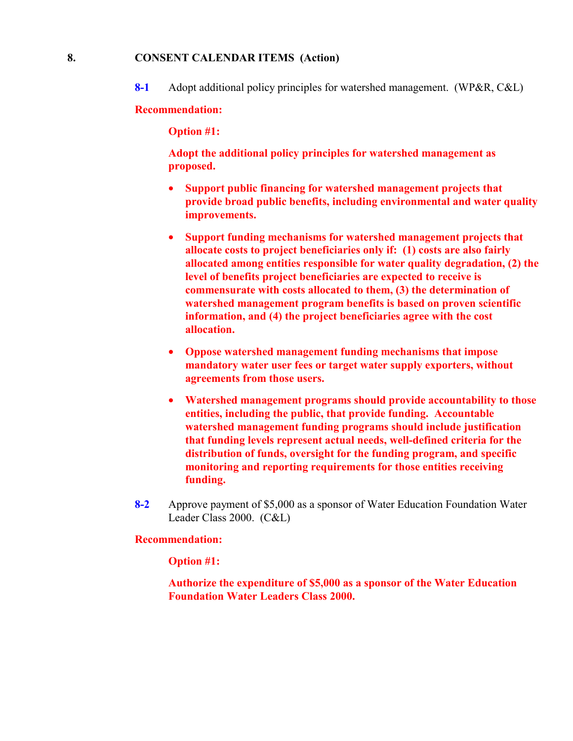#### **8. CONSENT CALENDAR ITEMS (Action)**

**8-1** Adopt additional policy principles for watershed management. (WP&R, C&L)

#### **Recommendation:**

**Option #1:**

**Adopt the additional policy principles for watershed management as proposed.**

- **Support public financing for watershed management projects that provide broad public benefits, including environmental and water quality improvements.**
- **Support funding mechanisms for watershed management projects that allocate costs to project beneficiaries only if: (1) costs are also fairly allocated among entities responsible for water quality degradation, (2) the level of benefits project beneficiaries are expected to receive is commensurate with costs allocated to them, (3) the determination of watershed management program benefits is based on proven scientific information, and (4) the project beneficiaries agree with the cost allocation.**
- **Oppose watershed management funding mechanisms that impose mandatory water user fees or target water supply exporters, without agreements from those users.**
- **Watershed management programs should provide accountability to those entities, including the public, that provide funding. Accountable watershed management funding programs should include justification that funding levels represent actual needs, well-defined criteria for the distribution of funds, oversight for the funding program, and specific monitoring and reporting requirements for those entities receiving funding.**
- **8-2** Approve payment of \$5,000 as a sponsor of Water Education Foundation Water Leader Class 2000. (C&L)

#### **Recommendation:**

**Option #1:**

**Authorize the expenditure of \$5,000 as a sponsor of the Water Education Foundation Water Leaders Class 2000.**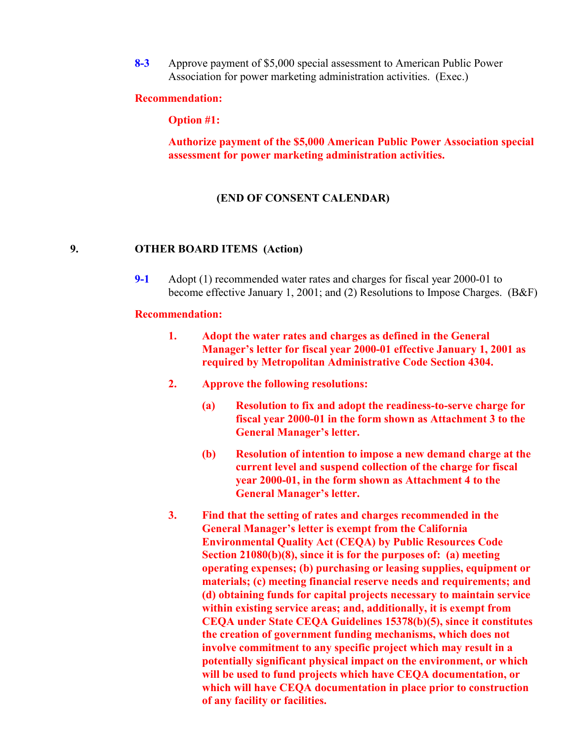**8-3** Approve payment of \$5,000 special assessment to American Public Power Association for power marketing administration activities. (Exec.)

#### **Recommendation:**

**Option #1:**

**Authorize payment of the \$5,000 American Public Power Association special assessment for power marketing administration activities.**

#### **(END OF CONSENT CALENDAR)**

#### **9. OTHER BOARD ITEMS (Action)**

**9-1** Adopt (1) recommended water rates and charges for fiscal year 2000-01 to become effective January 1, 2001; and (2) Resolutions to Impose Charges. (B&F)

#### **Recommendation:**

- **1. Adopt the water rates and charges as defined in the General Manager's letter for fiscal year 2000-01 effective January 1, 2001 as required by Metropolitan Administrative Code Section 4304.**
- **2. Approve the following resolutions:**
	- **(a) Resolution to fix and adopt the readiness-to-serve charge for fiscal year 2000-01 in the form shown as Attachment 3 to the General Manager's letter.**
	- **(b) Resolution of intention to impose a new demand charge at the current level and suspend collection of the charge for fiscal year 2000-01, in the form shown as Attachment 4 to the General Manager's letter.**
- **3. Find that the setting of rates and charges recommended in the General Manager's letter is exempt from the California Environmental Quality Act (CEQA) by Public Resources Code Section 21080(b)(8), since it is for the purposes of: (a) meeting operating expenses; (b) purchasing or leasing supplies, equipment or materials; (c) meeting financial reserve needs and requirements; and (d) obtaining funds for capital projects necessary to maintain service within existing service areas; and, additionally, it is exempt from CEQA under State CEQA Guidelines 15378(b)(5), since it constitutes the creation of government funding mechanisms, which does not involve commitment to any specific project which may result in a potentially significant physical impact on the environment, or which will be used to fund projects which have CEQA documentation, or which will have CEQA documentation in place prior to construction of any facility or facilities.**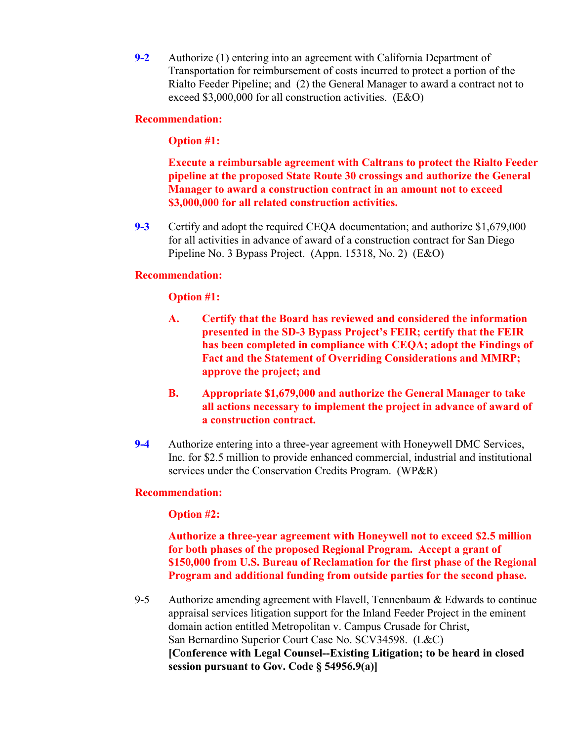**9-2** Authorize (1) entering into an agreement with California Department of Transportation for reimbursement of costs incurred to protect a portion of the Rialto Feeder Pipeline; and (2) the General Manager to award a contract not to exceed \$3,000,000 for all construction activities. (E&O)

### **Recommendation:**

### **Option #1:**

**Execute a reimbursable agreement with Caltrans to protect the Rialto Feeder pipeline at the proposed State Route 30 crossings and authorize the General Manager to award a construction contract in an amount not to exceed \$3,000,000 for all related construction activities.**

**9-3** Certify and adopt the required CEQA documentation; and authorize \$1,679,000 for all activities in advance of award of a construction contract for San Diego Pipeline No. 3 Bypass Project. (Appn. 15318, No. 2) (E&O)

### **Recommendation:**

### **Option #1:**

- **A. Certify that the Board has reviewed and considered the information presented in the SD-3 Bypass Project's FEIR; certify that the FEIR has been completed in compliance with CEQA; adopt the Findings of Fact and the Statement of Overriding Considerations and MMRP; approve the project; and**
- **B. Appropriate \$1,679,000 and authorize the General Manager to take all actions necessary to implement the project in advance of award of a construction contract.**
- **9-4** Authorize entering into a three-year agreement with Honeywell DMC Services, Inc. for \$2.5 million to provide enhanced commercial, industrial and institutional services under the Conservation Credits Program. (WP&R)

#### **Recommendation:**

#### **Option #2:**

**Authorize a three-year agreement with Honeywell not to exceed \$2.5 million for both phases of the proposed Regional Program. Accept a grant of \$150,000 from U.S. Bureau of Reclamation for the first phase of the Regional Program and additional funding from outside parties for the second phase.**

9-5 Authorize amending agreement with Flavell, Tennenbaum & Edwards to continue appraisal services litigation support for the Inland Feeder Project in the eminent domain action entitled Metropolitan v. Campus Crusade for Christ, San Bernardino Superior Court Case No. SCV34598. (L&C) **[Conference with Legal Counsel--Existing Litigation; to be heard in closed session pursuant to Gov. Code § 54956.9(a)]**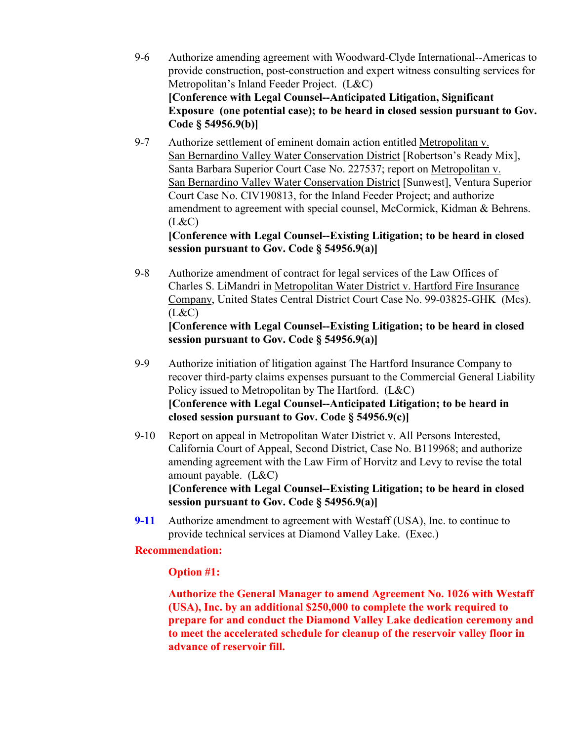- 9-6 Authorize amending agreement with Woodward-Clyde International--Americas to provide construction, post-construction and expert witness consulting services for Metropolitan's Inland Feeder Project. (L&C) **[Conference with Legal Counsel--Anticipated Litigation, Significant Exposure (one potential case); to be heard in closed session pursuant to Gov. Code § 54956.9(b)]**
- 9-7 Authorize settlement of eminent domain action entitled Metropolitan v. San Bernardino Valley Water Conservation District [Robertson's Ready Mix], Santa Barbara Superior Court Case No. 227537; report on Metropolitan v. San Bernardino Valley Water Conservation District [Sunwest], Ventura Superior Court Case No. CIV190813, for the Inland Feeder Project; and authorize amendment to agreement with special counsel, McCormick, Kidman & Behrens.  $(L&C)$

### **[Conference with Legal Counsel--Existing Litigation; to be heard in closed session pursuant to Gov. Code § 54956.9(a)]**

9-8 Authorize amendment of contract for legal services of the Law Offices of Charles S. LiMandri in Metropolitan Water District v. Hartford Fire Insurance Company, United States Central District Court Case No. 99-03825-GHK (Mcs).  $(L&C)$ 

### **[Conference with Legal Counsel--Existing Litigation; to be heard in closed session pursuant to Gov. Code § 54956.9(a)]**

- 9-9 Authorize initiation of litigation against The Hartford Insurance Company to recover third-party claims expenses pursuant to the Commercial General Liability Policy issued to Metropolitan by The Hartford. (L&C) **[Conference with Legal Counsel--Anticipated Litigation; to be heard in closed session pursuant to Gov. Code § 54956.9(c)]**
- 9-10 Report on appeal in Metropolitan Water District v. All Persons Interested, California Court of Appeal, Second District, Case No. B119968; and authorize amending agreement with the Law Firm of Horvitz and Levy to revise the total amount payable. (L&C) **[Conference with Legal Counsel--Existing Litigation; to be heard in closed**
- **session pursuant to Gov. Code § 54956.9(a)] 9-11** Authorize amendment to agreement with Westaff (USA), Inc. to continue to provide technical services at Diamond Valley Lake. (Exec.)

## **Recommendation:**

## **Option #1:**

**Authorize the General Manager to amend Agreement No. 1026 with Westaff (USA), Inc. by an additional \$250,000 to complete the work required to prepare for and conduct the Diamond Valley Lake dedication ceremony and to meet the accelerated schedule for cleanup of the reservoir valley floor in advance of reservoir fill.**